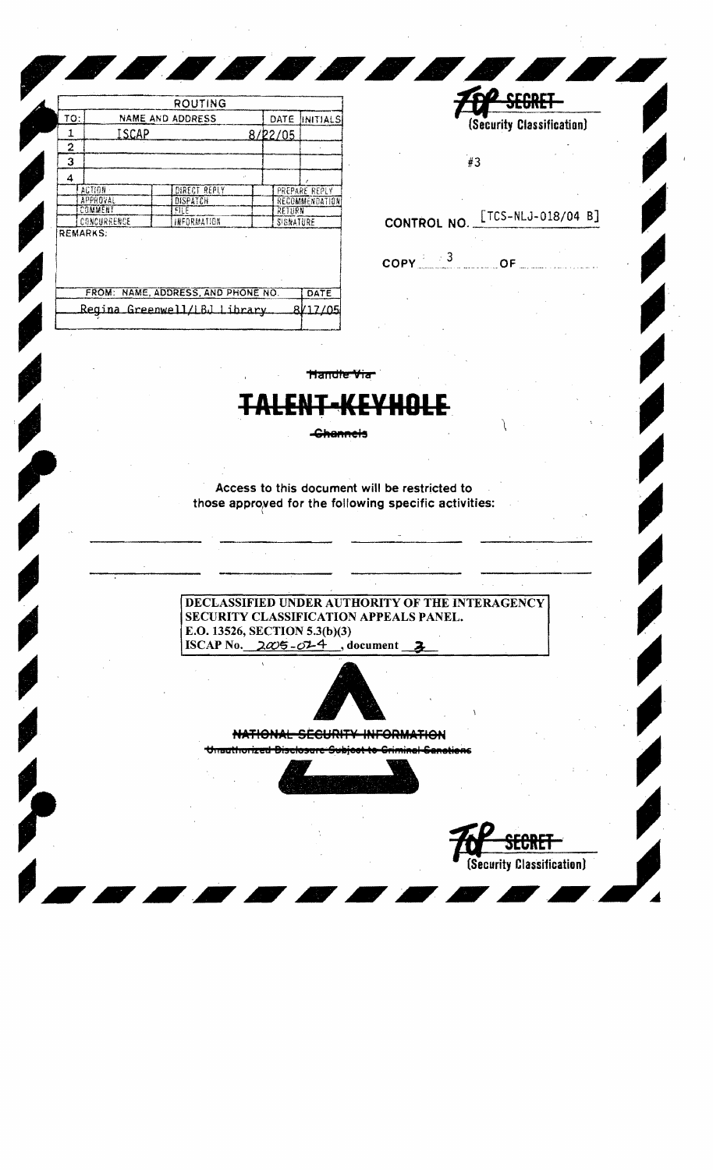|     |                  | ROUTING                            |  |           |                |
|-----|------------------|------------------------------------|--|-----------|----------------|
| TO: | NAME AND ADDRESS |                                    |  | DATE      | IINITIALS      |
| 1   | ISCAP            |                                    |  | 8/22/05   |                |
| 2   |                  |                                    |  |           |                |
| 3   |                  |                                    |  |           |                |
| 4   |                  |                                    |  |           |                |
|     | ACTION -         | DIRECT REPLY                       |  |           | PREPARE REPLY  |
|     | APPROVAL         | DISPATCH                           |  |           | RECOMMENDATION |
|     | COMMENT          | FILE                               |  | RETURN    |                |
|     | CONCURRENCE      | INFORMATION                        |  | SIGNATURE |                |
|     | <b>REMARKS:</b>  |                                    |  |           |                |
|     |                  | FROM: NAME, ADDRESS, AND PHONE NO. |  |           | DATE           |
|     |                  | Regina Greenwell/LBJ Library       |  |           | 8017705        |
|     |                  |                                    |  |           |                |

| #3                                |                                   |
|-----------------------------------|-----------------------------------|
|                                   | CONTROL NO. LTCS-NLJ-018/04       |
| $\frac{1}{2}$ $\approx$ 3<br>OPY: | <b>Contract Contract Contract</b> |

SEGRET

(Security Classification)

B]

Handle Via

-Channels

Access to this document will be restricted to those approved for the following specific activities:

DECLASSIFIED UNDER AUTHORITY OF THE INTERAGENCY SECURITY CLASSIFICATION APPEALS PANEL. E.O. 13526, SECTION 5.3(b)(3) ISCAP No.  $2\omega 5 - \omega 4$ , document



## NATIONAL SECURITY INFORMATION

Unauthorized Disclosure Subject to Criminal Canations

(Security Classification)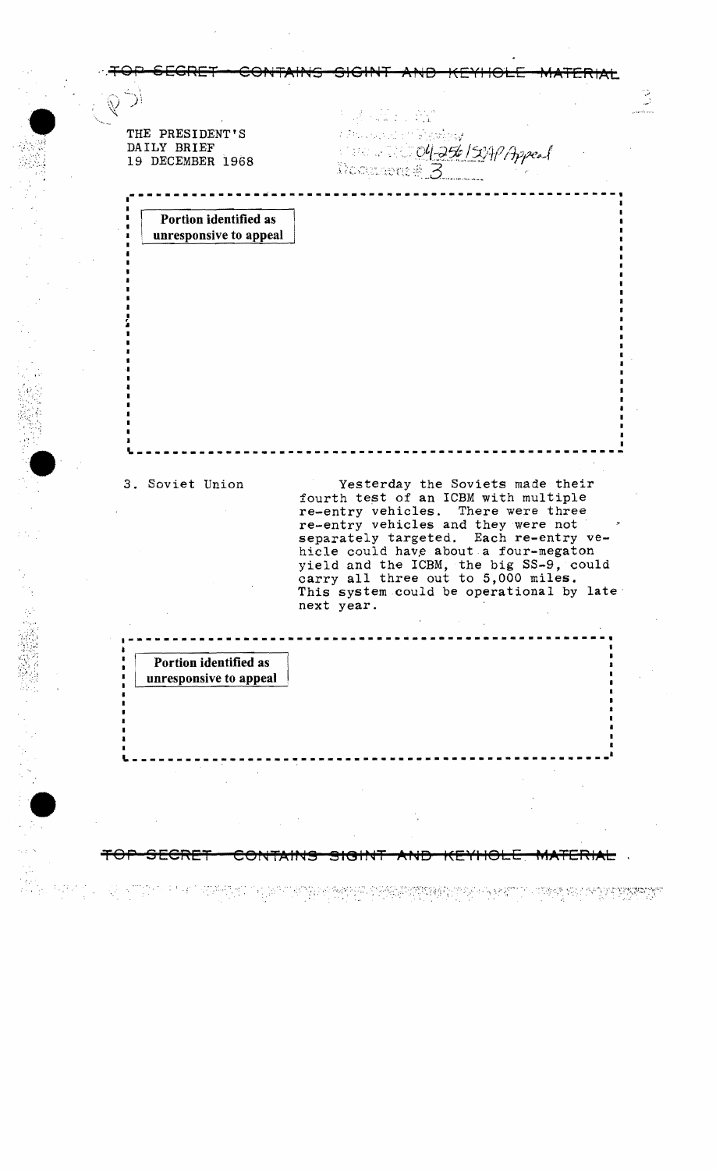$\begin{pmatrix} \mathbb{R}^n & \mathbb{R}^n \ & \mathbb{R}^n \ & \mathbb{R}^n \ & \mathbb{R}^n \end{pmatrix}$  $\sim$   $\,$   $\sim$  $\mathbb{R}^2 \times \mathbb{R}^2 \times \mathbb{R}$ • . j THE PRESIDENT'S DAILY BRIEF **Marcha World 04-256 /St** topes 19 DECEMBER 1968 *<i>Noonsents* 3 **----\_. \_\_ .\_----------\_.--------------------------------** Portion identified as I unresponsive to appeal ç. .. •<br>• '.  $\bullet$  $--\frac{1}{2}$  , which is the contribution of the contribution of the contribution of the contribution of the contribution of the contribution of the contribution of the contribution of the contribution of the contribution of 3. Soviet Union **Yesterday** the Soviets made their fourth test of an ICBM with multiple re-entry vehicles. There were three re-entry vehicles and they were not separately targeted. Each re-entry vehicle could have about a four-megaton yield and the ICBM, the big SS-9, could greated and the robin, the big bo-b, contract carry all three out to 5,000 miles. This system could be operational by late next year . **.-----------------------------------------------------**  $\frac{1}{\epsilon}$ Portion identified as unresponsive to appeal, <sup>~</sup>\_\_\_\_\_\_\_\_\_\_\_\_\_\_\_\_\_\_\_\_\_\_\_\_\_\_\_\_\_\_\_\_\_\_\_\_\_\_\_\_\_\_\_\_\_\_\_\_\_\_\_\_\_ **.1** • <del>SECRET CONTAINS SIGINT AND KEYHOLE MATERIAL</del>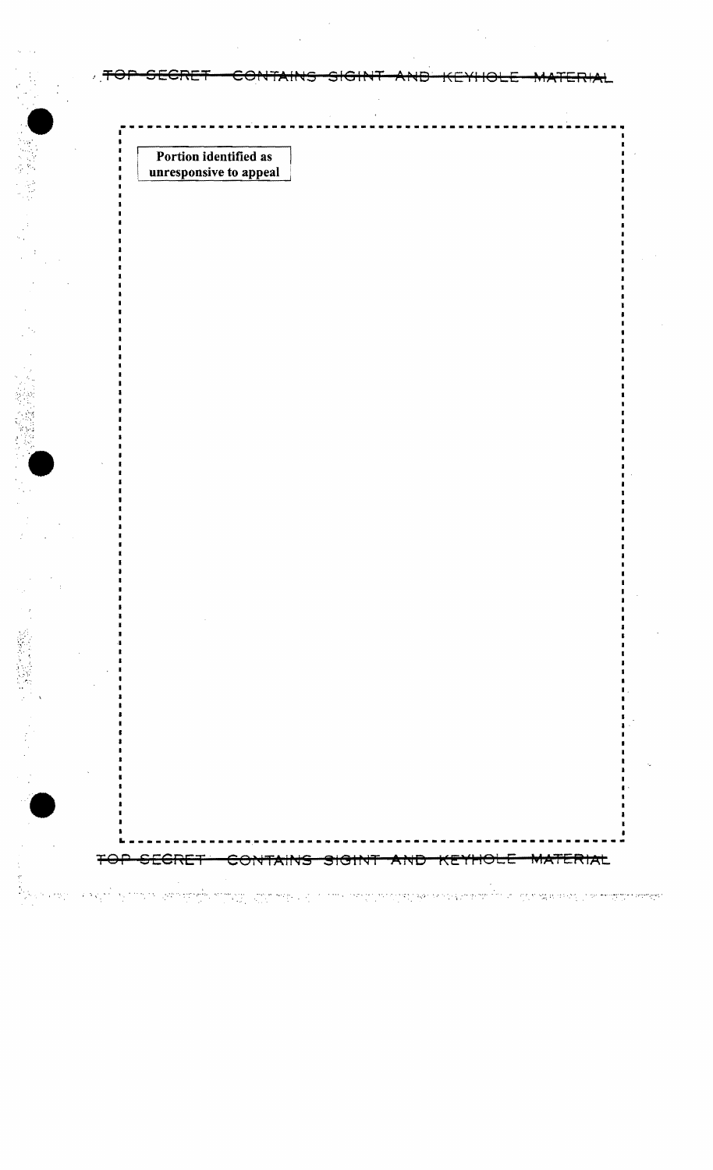Portion identified as unresponsive to appeal

Ŧ

North american states and the co

ERIAL ⊖€

الطوابة بهافيه والمحارب والأكران والكامرات أبكر المكار

।<br>पार्टी स्थापन गाउँ विकास समाप्त सम्मान स्थापना स्थापन सम्मान्दर्भ ।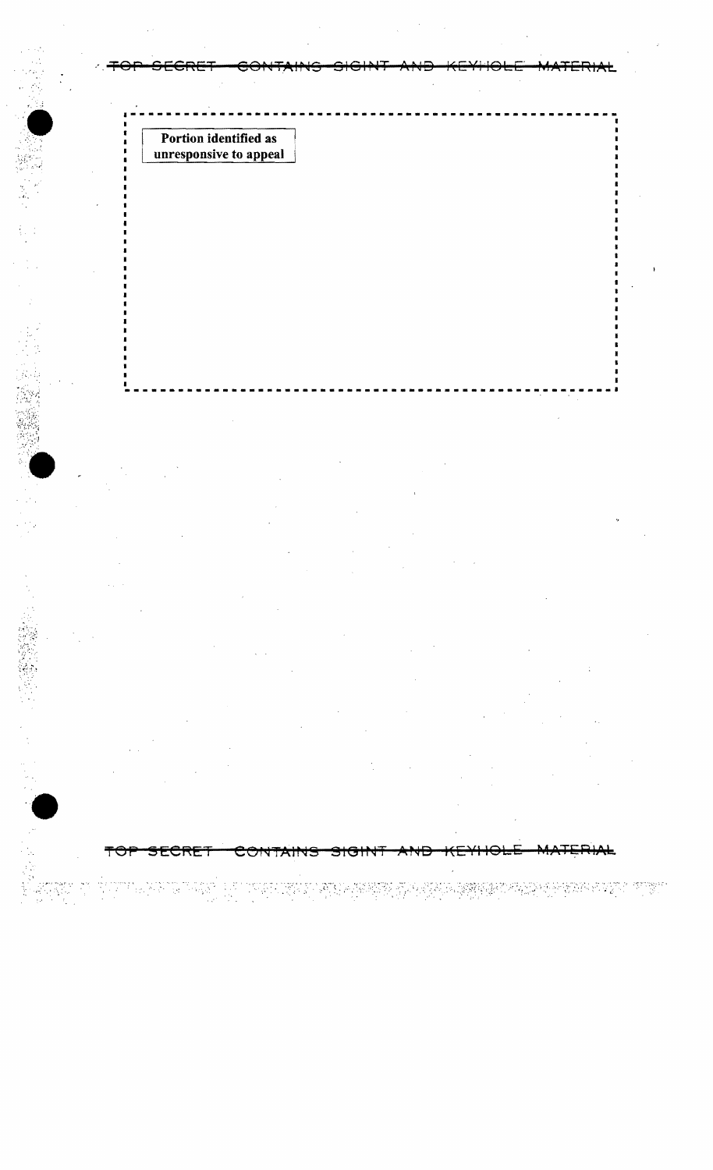Portion identified as<br>unresponsive to appeal

一、多家族

<del>TO1</del>

is in proposition in the second second in the second second in the second second in the second in the second s<br>The second in the second in the second in the second in the second in the second in the second in the second i

STAR PART TIPET

₳ᡄ <u>SECKET</u> CONTAINS ਤਾਰਜ ┯┯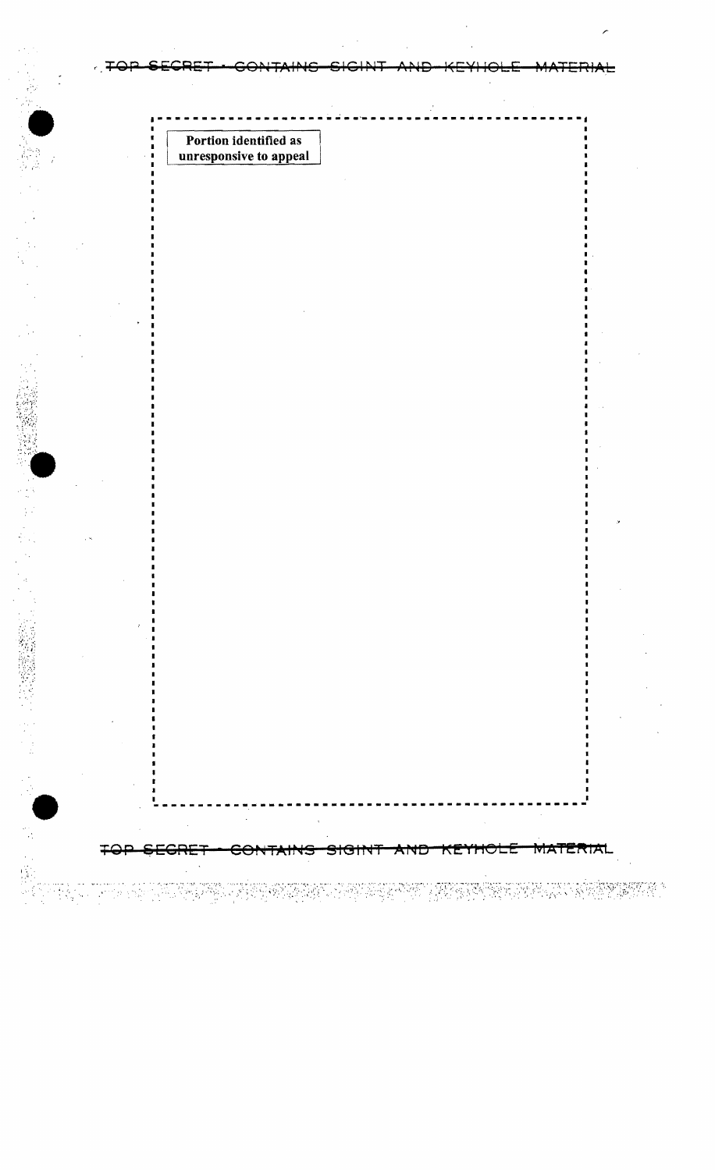